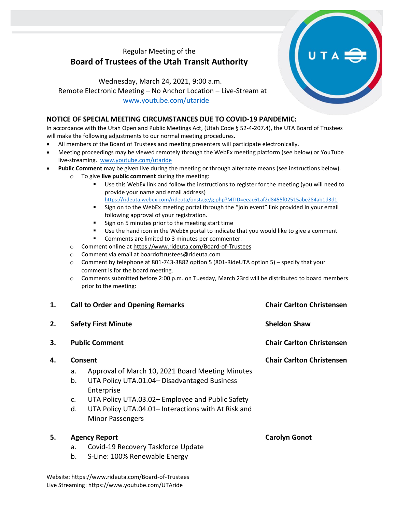# Regular Meeting of the **Board of Trustees of the Utah Transit Authority**

Wednesday, March 24, 2021, 9:00 a.m. Remote Electronic Meeting – No Anchor Location – Live-Stream at [www.youtube.com/utaride](http://www.youtube.com/utaride)

### **NOTICE OF SPECIAL MEETING CIRCUMSTANCES DUE TO COVID-19 PANDEMIC:**

In accordance with the Utah Open and Public Meetings Act, (Utah Code § 52-4-207.4), the UTA Board of Trustees will make the following adjustments to our normal meeting procedures.

- All members of the Board of Trustees and meeting presenters will participate electronically.
- Meeting proceedings may be viewed remotely through the WebEx meeting platform (see below) or YouTube live-streaming. [www.youtube.com/utaride](http://www.youtube.com/utaride)
- **Public Comment** may be given live during the meeting or through alternate means (see instructions below).
	- o To give **live public comment** during the meeting:
		- Use this WebEx link and follow the instructions to register for the meeting (you will need to provide your name and email address) <https://rideuta.webex.com/rideuta/onstage/g.php?MTID=eeac61af2d8455f02515abe284ab1d3d1>
		- Sign on to the WebEx meeting portal through the "join event" link provided in your email following approval of your registration.
		- Sign on 5 minutes prior to the meeting start time
		- Use the hand icon in the WebEx portal to indicate that you would like to give a comment
		- Comments are limited to 3 minutes per commenter.
		- o Comment online a[t https://www.rideuta.com/Board-of-Trustees](https://www.rideuta.com/Board-of-Trustees)
		- o Comment via email at [boardoftrustees@rideuta.com](mailto:boardoftrustees@rideuta.com)
		- o Comment by telephone at 801-743-3882 option 5 (801-RideUTA option 5) specify that your comment is for the board meeting.
		- o Comments submitted before 2:00 p.m. on Tuesday, March 23rd will be distributed to board members prior to the meeting:

| 1. | <b>Call to Order and Opening Remarks</b><br><b>Safety First Minute</b><br><b>Public Comment</b> |                                                     | <b>Chair Carlton Christensen</b><br><b>Sheldon Shaw</b><br><b>Chair Carlton Christensen</b> |
|----|-------------------------------------------------------------------------------------------------|-----------------------------------------------------|---------------------------------------------------------------------------------------------|
| 2. |                                                                                                 |                                                     |                                                                                             |
| 3. |                                                                                                 |                                                     |                                                                                             |
| 4. | Consent                                                                                         |                                                     | <b>Chair Carlton Christensen</b>                                                            |
|    | a.                                                                                              | Approval of March 10, 2021 Board Meeting Minutes    |                                                                                             |
|    | b.                                                                                              | UTA Policy UTA.01.04 - Disadvantaged Business       |                                                                                             |
|    |                                                                                                 | Enterprise                                          |                                                                                             |
|    | c.                                                                                              | UTA Policy UTA.03.02– Employee and Public Safety    |                                                                                             |
|    | d.                                                                                              | UTA Policy UTA.04.01- Interactions with At Risk and |                                                                                             |
|    |                                                                                                 | <b>Minor Passengers</b>                             |                                                                                             |
| 5. | <b>Agency Report</b>                                                                            |                                                     | <b>Carolyn Gonot</b>                                                                        |
|    | a.                                                                                              | Covid-19 Recovery Taskforce Update                  |                                                                                             |

b. S-Line: 100% Renewable Energy

Website[: https://www.rideuta.com/Board-of-Trustees](https://www.rideuta.com/Board-of-Trustees)  Live Streaming: https://www.youtube.com/UTAride